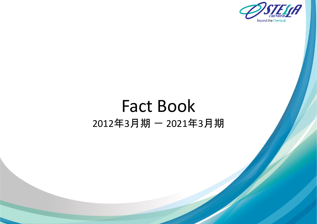

# Fact Book 2012年3月期 ― 2021年3月期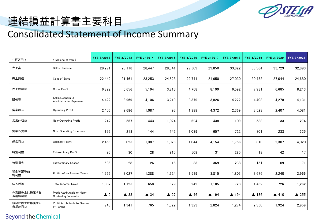

# 連結損益計算書主要科目

### Consolidated Statement of Income Summary

| (百万円)               | (Millions of yen)                                           | FYE 3/2012         | FYE 3/2013     | FYE 3/2014     | FYE 3/2015     | FYE 3/2016     | FYE 3/2017 | FYE 3/2018 | FYE 3/2019 | FYE 3/2020 | FYE 3/2021      |
|---------------------|-------------------------------------------------------------|--------------------|----------------|----------------|----------------|----------------|------------|------------|------------|------------|-----------------|
| 売上高                 | Sales Revenue                                               | 29,271             | 28,118         | 28,447         | 28,341         | 27,509         | 29,850     | 33,622     | 38,384     | 33,729     | 32,893          |
| 売上原価                | Cost of Sales                                               | 22,442             | 21,461         | 23,253         | 24,528         | 22,741         | 21,650     | 27,030     | 30,452     | 27,044     | 24,680          |
| 売上総利益               | <b>Gross Profit</b>                                         | 6,829              | 6,656          | 5,194          | 3,813          | 4,768          | 8,199      | 6,592      | 7,931      | 6,685      | 8,213           |
| 販管費                 | Selling, General &<br>Administrative Expenses               | 4,422              | 3,969          | 4,106          | 3,719          | 3,379          | 3,826      | 4,222      | 4,408      | 4,278      | 4,131           |
| 営業利益                | Operating Profit                                            | 2,406              | 2,686          | 1,087          | 93             | 1,388          | 4,372      | 2,369      | 3,523      | 2,407      | 4,081           |
| 営業外収益               | Non-Operating Profit                                        | 242                | 557            | 443            | 1,074          | 694            | 438        | 109        | 588        | 133        | 274             |
| 営業外費用               | Non-Operating Expenses                                      | 192                | 218            | 144            | 142            | 1,039          | 657        | 722        | 301        | 233        | 335             |
| 経常利益                | Ordinary Profit                                             | 2,456              | 3,025          | 1,387          | 1,026          | 1,044          | 4,154      | 1,756      | 3,810      | 2,307      | 4,020           |
| 特別利益                | <b>Extraordinary Profit</b>                                 | 95                 | 30             | 28             | 915            | 508            | 31         | 285        | 18         | 42         | 17              |
| 特別損失                | <b>Extraordinary Losses</b>                                 | 586                | 28             | 26             | 16             | 33             | 369        | 238        | 151        | 109        | 71              |
| 税金等調整前<br>純利益       | Profit before Income Taxes                                  | 1,966              | 3,027          | 1,388          | 1,924          | 1,519          | 3,815      | 1,803      | 3,676      | 2,240      | 3,966           |
| 法人税等                | <b>Total Income Taxes</b>                                   | 1,032              | 1,125          | 658            | 629            | 242            | 1,185      | 723        | 1,462      | 726        | 1,262           |
| 非支配株主に帰属する<br>当期純利益 | Profit Attributable to Non-<br><b>Controlling Interests</b> | $\blacktriangle$ 9 | $\triangle$ 38 | $\triangle$ 34 | $\triangle$ 27 | $\triangle$ 46 | ▲ 194      | ▲ 194      | ▲ 136      | ▲ 410      | $\triangle$ 255 |
| 親会社株主に帰属する<br>当期純利益 | Profit Attributable to Owners<br>of Parent                  | 943                | 1,941          | 765            | 1,322          | 1,323          | 2,824      | 1,274      | 2,350      | 1,924      | 2,959           |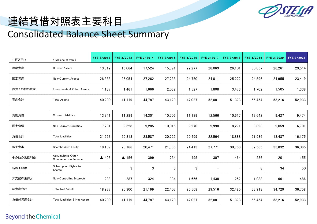

## 連結貸借対照表主要科目 Consolidated Balance Sheet Summary

| 百万円)     | (Millions of yen)                         | FYE 3/2012               | FYE 3/2013 | FYE 3/2014 | FYE 3/2015 | FYE 3/2016 | FYE 3/2017        | FYE 3/2018 | FYE 3/2019 | FYE 3/2020 | FYE 3/2021 |
|----------|-------------------------------------------|--------------------------|------------|------------|------------|------------|-------------------|------------|------------|------------|------------|
| 流動資産     | <b>Current Assets</b>                     | 13,812                   | 15,064     | 17,524     | 15,391     | 22,277     | 28,069            | 26,101     | 30,857     | 28,261     | 29,514     |
| 固定資産     | Non-Current Assets                        | 26,388                   | 26,054     | 27,262     | 27,738     | 24,750     | 24,011            | 25,272     | 24,596     | 24,955     | 23,419     |
| 投資その他の資産 | Investments & Other Assets                | 1,137                    | 1,461      | 1,666      | 2,032      | 1,527      | 1,808             | 3,473      | 1,702      | 1,505      | 1,338      |
| 資産合計     | <b>Total Assets</b>                       | 40,200                   | 41,119     | 44,787     | 43,129     | 47,027     | 52,081            | 51,373     | 55,454     | 53,216     | 52,933     |
|          |                                           |                          |            |            |            |            |                   |            |            |            |            |
| 流動負債     | <b>Current Liabilities</b>                | 13,941                   | 11,289     | 14,301     | 10,706     | 11,189     | 12,566            | 10,617     | 12,642     | 9,427      | 9,474      |
| 固定負債     | Non-Current Liabilities                   | 7,281                    | 9,528      | 9,285      | 10,015     | 9,270      | 9,998             | 8,271      | 8,893      | 9,059      | 6,701      |
| 負債合計     | <b>Total Liabilities</b>                  | 21,223                   | 20,818     | 23,587     | 20,722     | 20,459     | 22,564            | 18,888     | 21,536     | 18,487     | 16,175     |
| 株主資本     | Shareholders' Equity                      | 19,187                   | 20,166     | 20,471     | 21,335     | 24,413     | 27,771            | 30,768     | 32,585     | 33,832     | 36,065     |
| その他の包括利益 | Accumulated Other<br>Comprehensive Income | ▲ 498                    | ▲ 156      | 399        | 734        | 495        | 307               | 464        | 236        | 201        | 155        |
| 新株予約権    | Subscription Rights to<br>Shares          | $\overline{\phantom{m}}$ | 3          | 3          | 3          | 3          | $\qquad \qquad -$ |            | 8          | 34         | 50         |
| 非支配株主持分  | Non-Controlling Interests                 | 288                      | 287        | 324        | 334        | 1,656      | 1,438             | 1,252      | 1,088      | 661        | 486        |
| 純資産合計    | <b>Total Net Assets</b>                   | 18,977                   | 20,300     | 21,199     | 22,407     | 26,568     | 29,516            | 32,485     | 33,918     | 34,729     | 36,758     |
| 負債純資産合計  | Total Liabilities & Net Assets            | 40,200                   | 41,119     | 44,787     | 43,129     | 47,027     | 52,081            | 51,373     | 55,454     | 53,216     | 52,933     |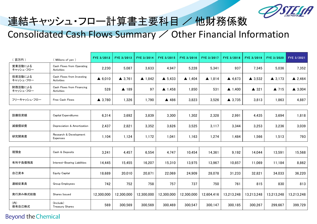

# 連結キャッシュ・フロー計算書主要科目 / 他財務係数 Consolidated Cash Flows Summary / Other Financial Information

| 百万円)                 | (Millions of yen)                         | FYE 3/2012        | FYE 3/2013        | FYE 3/2014        | FYE 3/2015        | FYE 3/2016        | FYE 3/2017        | FYE 3/2018        | FYE 3/2019        | FYE 3/2020        | FYE 3/2021        |
|----------------------|-------------------------------------------|-------------------|-------------------|-------------------|-------------------|-------------------|-------------------|-------------------|-------------------|-------------------|-------------------|
| 営業活動による<br>キャッシュ・フロー | Cash Flows from Operating<br>Activities   | 2,230             | 5,087             | 3,633             | 4,947             | 5,228             | 5,341             | 937               | 7,345             | 5,036             | 7,352             |
| 投資活動による<br>キャッシュ・フロー | Cash Flows from Investing<br>Activities   | $\triangle$ 6,010 | $\triangle$ 3,761 | $\triangle$ 1,842 | $\triangle$ 5,433 | $\triangle$ 1,404 | $\triangle$ 1,814 | 4,673             | $\triangle$ 3,532 | $\triangle$ 3,173 | $\triangle$ 2,464 |
| 財務活動による<br>キャッシュ・フロー | Cash Flows from Financing<br>Activities   | 528               | ▲ 189             | 97                | $\triangle$ 1,458 | 1,850             | 531               | $\triangle$ 1,400 | $\triangle$ 321   | $\triangle$ 715   | $\triangle$ 3,004 |
| フリーキャッシュ・フロー         | Free Cash Flows                           | $\triangle$ 3,780 | 1,326             | 1,790             | ▲ 486             | 3,823             | 3,526             | $\triangle$ 3,735 | 3,813             | 1,863             | 4,887             |
|                      |                                           |                   |                   |                   |                   |                   |                   |                   |                   |                   |                   |
| 設備投資額                | <b>Capital Expenditures</b>               | 6,314             | 3,692             | 3,839             | 3,300             | 1,302             | 2,328             | 2,991             | 4,435             | 3,694             | 1,818             |
| 減価償却費                | Depreciation & Amortization               | 2,437             | 2,821             | 3,352             | 3,626             | 3,525             | 3,117             | 3,344             | 3,253             | 3,236             | 3,039             |
| 研究開発費                | Research & Development<br><b>Expenses</b> | 1,104             | 1,124             | 1,172             | 1,041             | 1,163             | 1,274             | 1,484             | 1,566             | 1,513             | 793               |
|                      |                                           |                   |                   |                   |                   |                   |                   |                   |                   |                   |                   |
| 現預金                  | Cash & Deposits                           | 3,241             | 4,457             | 6,554             | 4,747             | 10,454            | 14,361            | 9,192             | 14,044            | 13,591            | 15,568            |
| 有利子負債残高              | Interest-Bearing Liabilities              | 14,445            | 15,455            | 16,207            | 15,310            | 13,975            | 13,967            | 10,857            | 11,069            | 11,184            | 8,862             |
| 自己資本                 | <b>Equity Capital</b>                     | 18,689            | 20,010            | 20,871            | 22,069            | 24,909            | 28,078            | 31,233            | 32,821            | 34,033            | 36,220            |
| 連結従業員                | Group Employees                           | 742               | 752               | 758               | 757               | 737               | 750               | 761               | 815               | 830               | 813               |
| 発行済み株式総数             | Shares Issued                             | 12,300,000        | 12,300,000        | 12,300,000        | 12,300,000        | 12,300,000        | 12,604,416        | 13,213,248        | 13,213,248        | 13,213,248        | 13,213,248        |
| (内)<br>保有自己株式        | (Include)<br><b>Treasury Shares</b>       | 569               | 300,569           | 300,569           | 300,469           | 300,547           | 300,147           | 300,185           | 300,267           | 299,667           | 399,729           |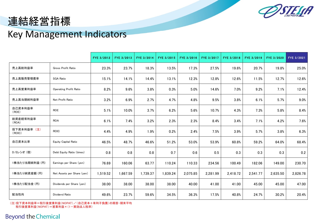

### 連結経営指標

### Key Management Indicators

|                       |                               | FYE 3/2012 | FYE 3/2013 | FYE 3/2014 | FYE 3/2015 | FYE 3/2016 | FYE 3/2017 | FYE 3/2018 | FYE 3/2019 | FYE 3/2020 | FYE 3/2021 |
|-----------------------|-------------------------------|------------|------------|------------|------------|------------|------------|------------|------------|------------|------------|
| 売上高総利益率               | Gross Profit Ratio            | 23.3%      | 23.7%      | 18.3%      | 13.5%      | 17.3%      | 27.5%      | 19.6%      | 20.7%      | 19.8%      | 25.0%      |
| 売上高販売管理費率             | <b>SGA Ratio</b>              | 15.1%      | 14.1%      | 14.4%      | 13.1%      | 12.3%      | 12.8%      | 12.6%      | 11.5%      | 12.7%      | 12.6%      |
| 売上高営業利益率              | <b>Operating Profit Ratio</b> | 8.2%       | 9.6%       | 3.8%       | 0.3%       | 5.0%       | 14.6%      | 7.0%       | 9.2%       | 7.1%       | 12.4%      |
| 売上高当期純利益率             | Net Profit Ratio              | 3.2%       | 6.9%       | 2.7%       | 4.7%       | 4.8%       | 9.5%       | 3.8%       | 6.1%       | 5.7%       | 9.0%       |
| 自己資本利益率<br>(ROE)      | <b>ROE</b>                    | 5.1%       | 10.0%      | 3.7%       | 6.2%       | 5.6%       | 10.7%      | 4.3%       | 7.3%       | 5.8%       | 8.4%       |
| 総資産経常利益率<br>(ROA)     | <b>ROA</b>                    | 6.1%       | 7.4%       | 3.2%       | 2.3%       | 2.3%       | 8.4%       | 3.4%       | 7.1%       | 4.2%       | 7.6%       |
| 投下資本利益率 (注)<br>(ROIC) | ROIC                          | 4.4%       | 4.9%       | 1.9%       | 0.2%       | 2.4%       | 7.5%       | 3.9%       | 5.7%       | 3.8%       | 6.3%       |
| 自己資本比率                | Equity Capital Ratio          | 46.5%      | 48.7%      | 46.6%      | 51.2%      | 53.0%      | 53.9%      | 60.8%      | 59.2%      | 64.0%      | 68.4%      |
| D/Eレシオ (倍)            | Debt Equity Ratio (times)     | 0.8        | 0.8        | 0.8        | 0.7        | 0.6        | 0.5        | 0.3        | 0.3        | 0.3        | 0.2        |
| 1株当たり当期純利益 (円)        | Earnings per Share (yen)      | 76.69      | 160.06     | 63.77      | 110.24     | 110.33     | 234.56     | 100.49     | 182.06     | 149.00     | 230.70     |
| 1株当たり純資産額 (円)         | Net Assets per Share (yen)    | 1,519.52   | 1,667.59   | 1,739.37   | 1,839.24   | 2,075.85   | 2,281.99   | 2,418.72   | 2,541.77   | 2,635.50   | 2,826.78   |
| 1株当たり配当金 (円)          | Dividends per Share (yen)     | 38.00      | 38.00      | 38.00      | 38.00      | 40.00      | 41.00      | 41.00      | 45.00      | 45.00      | 47.00      |
| 配当性向                  | Dividend Ratio                | 49.6%      | 23.7%      | 59.6%      | 34.5%      | 36.3%      | 17.5%      | 40.8%      | 24.7%      | 30.2%      | 20.4%      |

(注)投下資本利益率=税引後営業利益(NOPAT)/(自己資本+有利子負債)の期首・期末平均 税引後営業利益(NOPAT)=営業利益×(1-実効法人税率)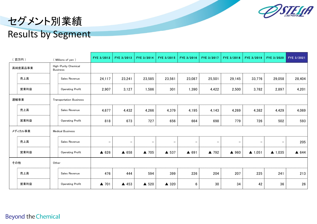

# セグメント別業績 Results by Segment

|      | 百万円)    |       | (Millions of yen)                       | FYE 3/2012               | FYE 3/2013               | FYE 3/2014               | FYE 3/2015               | FYE 3/2016        | FYE 3/2017 | FYE 3/2018 | FYE 3/2019        | FYE 3/2020               | FYE 3/2021 |
|------|---------|-------|-----------------------------------------|--------------------------|--------------------------|--------------------------|--------------------------|-------------------|------------|------------|-------------------|--------------------------|------------|
|      | 高純度薬品事業 |       | High-Purity Chemical<br><b>Business</b> |                          |                          |                          |                          |                   |            |            |                   |                          |            |
|      | 売上高     |       | Sales Revenue                           | 24,117                   | 23,241                   | 23,585                   | 23,561                   | 23,087            | 25,501     | 29,145     | 33,776            | 29,058                   | 28,404     |
|      | 営業利益    |       | <b>Operating Profit</b>                 | 2,907                    | 3,127                    | 1,586                    | 301                      | 1,390             | 4,422      | 2,500      | 3,782             | 2,897                    | 4,201      |
| 運輸事業 |         |       | <b>Transportation Business</b>          |                          |                          |                          |                          |                   |            |            |                   |                          |            |
|      | 売上高     |       | Sales Revenue                           | 4,677                    | 4,432                    | 4,266                    | 4,379                    | 4,195             | 4,143      | 4,269      | 4,382             | 4,429                    | 4,069      |
|      | 営業利益    |       | <b>Operating Profit</b>                 | 818                      | 673                      | 727                      | 656                      | 664               | 698        | 779        | 726               | 502                      | 593        |
|      | メディカル事業 |       | <b>Medical Business</b>                 |                          |                          |                          |                          |                   |            |            |                   |                          |            |
|      | 売上高     |       | Sales Revenue                           | $\overline{\phantom{m}}$ | $\overline{\phantom{a}}$ | $\overline{\phantom{m}}$ | $\overline{\phantom{m}}$ | $\qquad \qquad -$ | $-$        |            | -                 | $\overline{\phantom{m}}$ | 205        |
|      | 営業利益    |       | <b>Operating Profit</b>                 | $\triangle$ 626          | ▲ 658                    | ▲ 705                    | ▲ 537                    | ▲ 691             | ▲ 792      | ▲ 960      | $\triangle$ 1,051 | $\triangle$ 1,035        | ▲ 644      |
| その他  |         | Other |                                         |                          |                          |                          |                          |                   |            |            |                   |                          |            |
|      | 売上高     |       | Sales Revenue                           | 476                      | 444                      | 594                      | 399                      | 226               | 204        | 207        | 225               | 241                      | 213        |
|      | 営業利益    |       | <b>Operating Profit</b>                 | ▲ 701                    | ▲ 453                    | ▲ 520                    | ▲ 320                    | 6                 | 30         | 34         | 42                | 36                       | 26         |